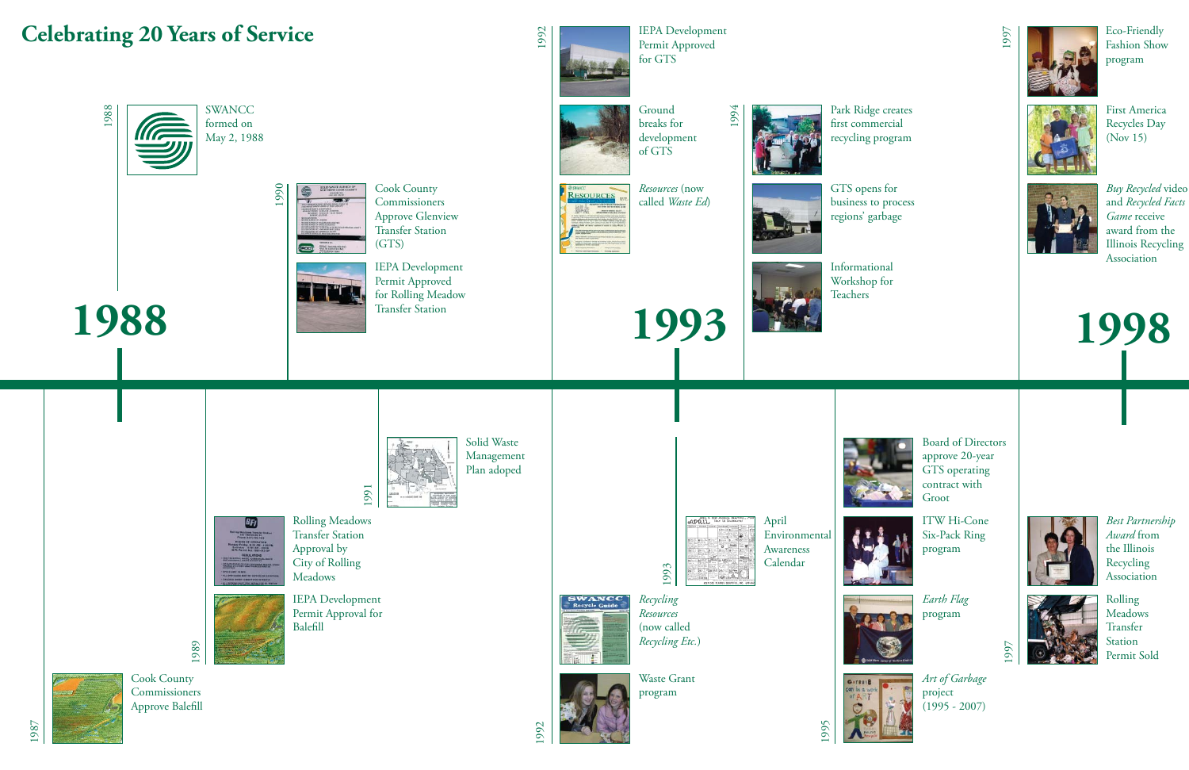*Art of Garbage* project (1995 - 2007)

*Best Partnership Award* from the Illinois Recycling Association

First America Recycles Day (Nov 15)





*Buy Recycled* video and *Recycled Facts Game* receive award from the Illinois Recycling Association

Eco-Friendly Fashion Show program

1997

*Earth Flag* program





ITW Hi-Cone Six-Pack Ring program



Board of Directors approve 20-year GTS operating contract with Groot



Rolling Meadows Transfer Station Permit Sold